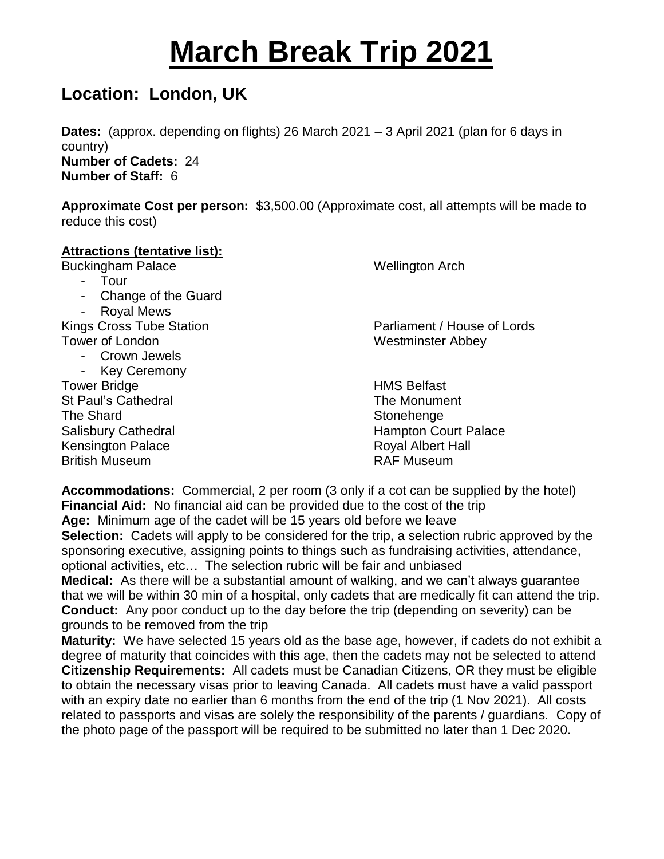## **March Break Trip 2021**

## **Location: London, UK**

**Dates:** (approx. depending on flights) 26 March 2021 – 3 April 2021 (plan for 6 days in country) **Number of Cadets:** 24

**Number of Staff:** 6

**Approximate Cost per person:** \$3,500.00 (Approximate cost, all attempts will be made to reduce this cost)

## **Attractions (tentative list):**

Buckingham Palace Wellington Arch

- Tour
- Change of the Guard
- Royal Mews

Tower of London Westminster Abbey

- Crown Jewels
- Key Ceremony
- Tower Bridge **HMS** Belfast St Paul's Cathedral The Monument The Shard Stonehenge Stonehenge Kensington Palace **Royal Albert Hall**

Kings Cross Tube Station **Parliament / House of Lords** 

Salisbury Cathedral **Exercise Serverse Court Palace** Hampton Court Palace British Museum RAF Museum

**Accommodations:** Commercial, 2 per room (3 only if a cot can be supplied by the hotel) **Financial Aid:** No financial aid can be provided due to the cost of the trip **Age:** Minimum age of the cadet will be 15 years old before we leave

**Selection:** Cadets will apply to be considered for the trip, a selection rubric approved by the sponsoring executive, assigning points to things such as fundraising activities, attendance, optional activities, etc… The selection rubric will be fair and unbiased

**Medical:** As there will be a substantial amount of walking, and we can't always guarantee that we will be within 30 min of a hospital, only cadets that are medically fit can attend the trip. **Conduct:** Any poor conduct up to the day before the trip (depending on severity) can be grounds to be removed from the trip

**Maturity:** We have selected 15 years old as the base age, however, if cadets do not exhibit a degree of maturity that coincides with this age, then the cadets may not be selected to attend **Citizenship Requirements:** All cadets must be Canadian Citizens, OR they must be eligible to obtain the necessary visas prior to leaving Canada. All cadets must have a valid passport with an expiry date no earlier than 6 months from the end of the trip (1 Nov 2021). All costs related to passports and visas are solely the responsibility of the parents / guardians. Copy of the photo page of the passport will be required to be submitted no later than 1 Dec 2020.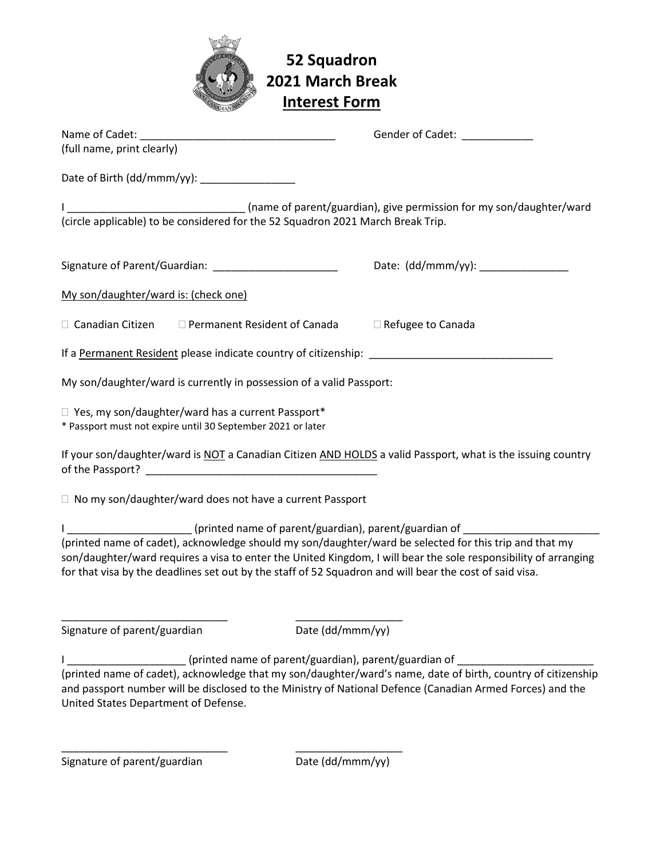

## **52 Squadron 2021 March Break Interest Form**

|                                                                                                                                                                                                                                                                                                                                                                                                                                              | Gender of Cadet: National Contract of Cadet: |
|----------------------------------------------------------------------------------------------------------------------------------------------------------------------------------------------------------------------------------------------------------------------------------------------------------------------------------------------------------------------------------------------------------------------------------------------|----------------------------------------------|
| (full name, print clearly)                                                                                                                                                                                                                                                                                                                                                                                                                   |                                              |
| Date of Birth (dd/mmm/yy): __________________                                                                                                                                                                                                                                                                                                                                                                                                |                                              |
| (circle applicable) to be considered for the 52 Squadron 2021 March Break Trip.                                                                                                                                                                                                                                                                                                                                                              |                                              |
| Signature of Parent/Guardian: _________________________                                                                                                                                                                                                                                                                                                                                                                                      |                                              |
| My son/daughter/ward is: (check one)                                                                                                                                                                                                                                                                                                                                                                                                         |                                              |
| $\Box$ Canadian Citizen $\Box$ Permanent Resident of Canada                                                                                                                                                                                                                                                                                                                                                                                  | □ Refugee to Canada                          |
|                                                                                                                                                                                                                                                                                                                                                                                                                                              |                                              |
| My son/daughter/ward is currently in possession of a valid Passport:                                                                                                                                                                                                                                                                                                                                                                         |                                              |
| $\Box$ Yes, my son/daughter/ward has a current Passport*<br>* Passport must not expire until 30 September 2021 or later                                                                                                                                                                                                                                                                                                                      |                                              |
| If your son/daughter/ward is NOT a Canadian Citizen AND HOLDS a valid Passport, what is the issuing country                                                                                                                                                                                                                                                                                                                                  |                                              |
| $\Box$ No my son/daughter/ward does not have a current Passport                                                                                                                                                                                                                                                                                                                                                                              |                                              |
| I _____________________(printed name of parent/guardian), parent/guardian of _______________________<br>(printed name of cadet), acknowledge should my son/daughter/ward be selected for this trip and that my<br>son/daughter/ward requires a visa to enter the United Kingdom, I will bear the sole responsibility of arranging<br>for that visa by the deadlines set out by the staff of 52 Squadron and will bear the cost of said visa. |                                              |
| Signature of parent/guardian<br>Date (dd/mmm/yy)                                                                                                                                                                                                                                                                                                                                                                                             |                                              |
| (printed name of parent/guardian), parent/guardian of                                                                                                                                                                                                                                                                                                                                                                                        |                                              |
| (printed name of cadet), acknowledge that my son/daughter/ward's name, date of birth, country of citizenship<br>and passport number will be disclosed to the Ministry of National Defence (Canadian Armed Forces) and the<br>United States Department of Defense.                                                                                                                                                                            |                                              |

\_\_\_\_\_\_\_\_\_\_\_\_\_\_\_\_\_\_\_\_\_\_\_\_\_\_\_\_ \_\_\_\_\_\_\_\_\_\_\_\_\_\_\_\_\_\_

Signature of parent/guardian Date (dd/mmm/yy)